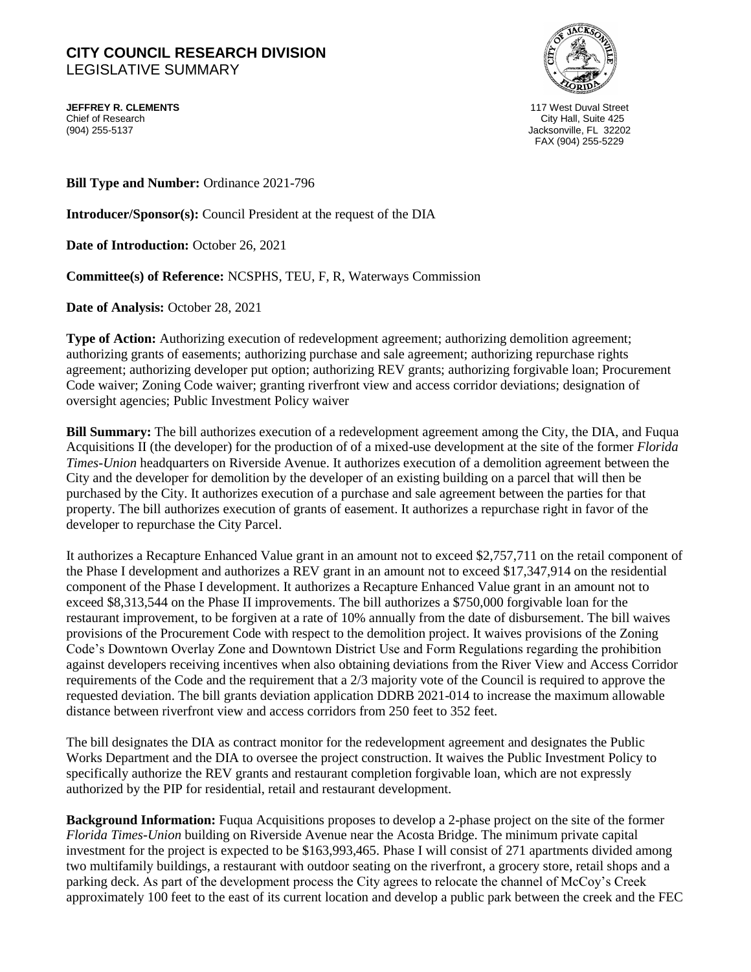## **CITY COUNCIL RESEARCH DIVISION**  LEGISLATIVE SUMMARY

**JEFFREY R. CLEMENTS** 117 West Duval Street Chief of Research City Hall, Suite 425



Jacksonville, FL 32202 FAX (904) 255-5229

**Bill Type and Number:** Ordinance 2021-796

**Introducer/Sponsor(s):** Council President at the request of the DIA

**Date of Introduction:** October 26, 2021

**Committee(s) of Reference:** NCSPHS, TEU, F, R, Waterways Commission

**Date of Analysis:** October 28, 2021

**Type of Action:** Authorizing execution of redevelopment agreement; authorizing demolition agreement; authorizing grants of easements; authorizing purchase and sale agreement; authorizing repurchase rights agreement; authorizing developer put option; authorizing REV grants; authorizing forgivable loan; Procurement Code waiver; Zoning Code waiver; granting riverfront view and access corridor deviations; designation of oversight agencies; Public Investment Policy waiver

**Bill Summary:** The bill authorizes execution of a redevelopment agreement among the City, the DIA, and Fuqua Acquisitions II (the developer) for the production of of a mixed-use development at the site of the former *Florida Times-Union* headquarters on Riverside Avenue. It authorizes execution of a demolition agreement between the City and the developer for demolition by the developer of an existing building on a parcel that will then be purchased by the City. It authorizes execution of a purchase and sale agreement between the parties for that property. The bill authorizes execution of grants of easement. It authorizes a repurchase right in favor of the developer to repurchase the City Parcel.

It authorizes a Recapture Enhanced Value grant in an amount not to exceed \$2,757,711 on the retail component of the Phase I development and authorizes a REV grant in an amount not to exceed \$17,347,914 on the residential component of the Phase I development. It authorizes a Recapture Enhanced Value grant in an amount not to exceed \$8,313,544 on the Phase II improvements. The bill authorizes a \$750,000 forgivable loan for the restaurant improvement, to be forgiven at a rate of 10% annually from the date of disbursement. The bill waives provisions of the Procurement Code with respect to the demolition project. It waives provisions of the Zoning Code's Downtown Overlay Zone and Downtown District Use and Form Regulations regarding the prohibition against developers receiving incentives when also obtaining deviations from the River View and Access Corridor requirements of the Code and the requirement that a 2/3 majority vote of the Council is required to approve the requested deviation. The bill grants deviation application DDRB 2021-014 to increase the maximum allowable distance between riverfront view and access corridors from 250 feet to 352 feet.

The bill designates the DIA as contract monitor for the redevelopment agreement and designates the Public Works Department and the DIA to oversee the project construction. It waives the Public Investment Policy to specifically authorize the REV grants and restaurant completion forgivable loan, which are not expressly authorized by the PIP for residential, retail and restaurant development.

**Background Information:** Fuqua Acquisitions proposes to develop a 2-phase project on the site of the former *Florida Times-Union* building on Riverside Avenue near the Acosta Bridge. The minimum private capital investment for the project is expected to be \$163,993,465. Phase I will consist of 271 apartments divided among two multifamily buildings, a restaurant with outdoor seating on the riverfront, a grocery store, retail shops and a parking deck. As part of the development process the City agrees to relocate the channel of McCoy's Creek approximately 100 feet to the east of its current location and develop a public park between the creek and the FEC